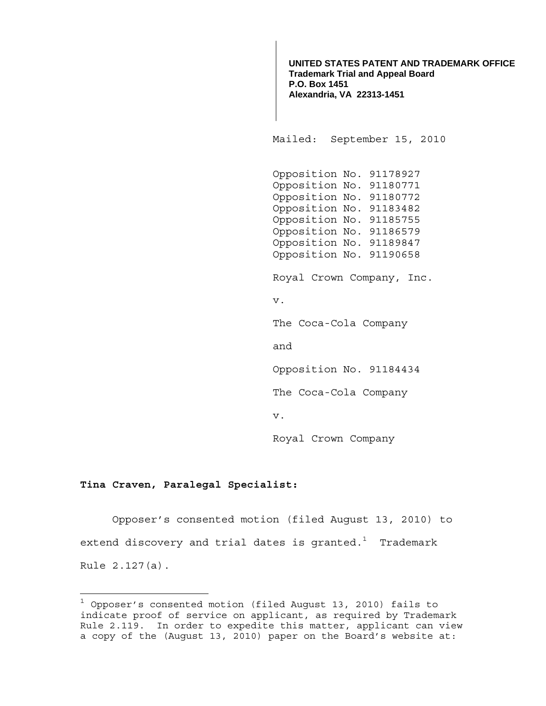**UNITED STATES PATENT AND TRADEMARK OFFICE Trademark Trial and Appeal Board P.O. Box 1451 Alexandria, VA 22313-1451**

Mailed: September 15, 2010

 Opposition No. 91178927 Opposition No. 91180771 Opposition No. 91180772 Opposition No. 91183482 Opposition No. 91185755 Opposition No. 91186579 Opposition No. 91189847 Opposition No. 91190658

Royal Crown Company, Inc.

v.

The Coca-Cola Company

and

Opposition No. 91184434

The Coca-Cola Company

v.

Royal Crown Company

## **Tina Craven, Paralegal Specialist:**

÷.

 Opposer's consented motion (filed August 13, 2010) to extend discovery and trial dates is granted. $^{\rm 1}$  Trademark Rule 2.127(a).

 $1$  Opposer's consented motion (filed August 13, 2010) fails to indicate proof of service on applicant, as required by Trademark Rule 2.119. In order to expedite this matter, applicant can view a copy of the (August 13, 2010) paper on the Board's website at: